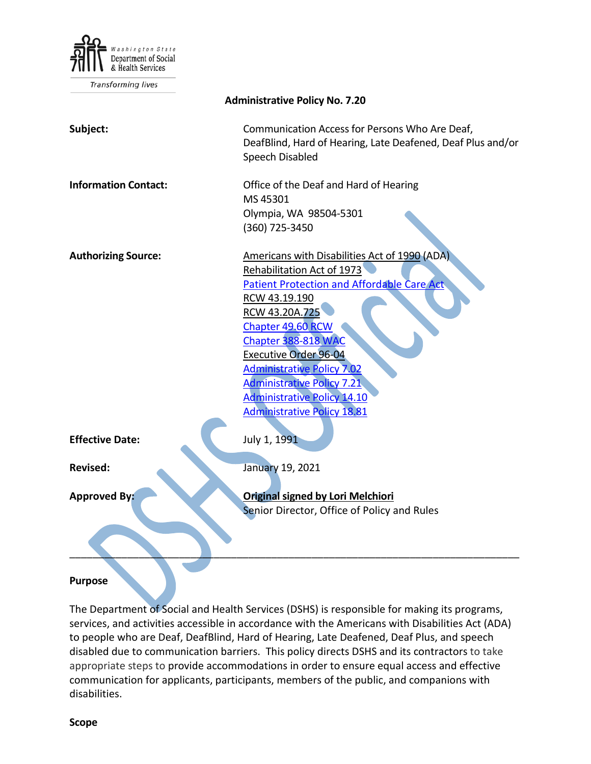

**Transforming lives** 

| <b>Administrative Policy No. 7.20</b> |                                                                                                                                                                                                                                                                                                                                                                                                              |
|---------------------------------------|--------------------------------------------------------------------------------------------------------------------------------------------------------------------------------------------------------------------------------------------------------------------------------------------------------------------------------------------------------------------------------------------------------------|
| Subject:                              | Communication Access for Persons Who Are Deaf,<br>DeafBlind, Hard of Hearing, Late Deafened, Deaf Plus and/or<br>Speech Disabled                                                                                                                                                                                                                                                                             |
| <b>Information Contact:</b>           | Office of the Deaf and Hard of Hearing<br>MS 45301<br>Olympia, WA 98504-5301<br>(360) 725-3450                                                                                                                                                                                                                                                                                                               |
| <b>Authorizing Source:</b>            | Americans with Disabilities Act of 1990 (ADA)<br><b>Rehabilitation Act of 1973</b><br><b>Patient Protection and Affordable Care Act</b><br>RCW 43.19.190<br>RCW 43.20A.725<br>Chapter 49.60 RCW<br>Chapter 388-818 WAC<br><b>Executive Order 96-04</b><br><b>Administrative Policy 7.02</b><br><b>Administrative Policy 7.21</b><br><b>Administrative Policy 14.10</b><br><b>Administrative Policy 18.81</b> |
| <b>Effective Date:</b>                | July 1, 1991                                                                                                                                                                                                                                                                                                                                                                                                 |
| <b>Revised:</b>                       | January 19, 2021                                                                                                                                                                                                                                                                                                                                                                                             |
| <b>Approved By:</b>                   | <b>Original signed by Lori Melchiori</b><br>Senior Director, Office of Policy and Rules                                                                                                                                                                                                                                                                                                                      |
| <b>Purpose</b>                        |                                                                                                                                                                                                                                                                                                                                                                                                              |

The Department of Social and Health Services (DSHS) is responsible for making its programs, services, and activities accessible in accordance with the Americans with Disabilities Act (ADA) to people who are Deaf, DeafBlind, Hard of Hearing, Late Deafened, Deaf Plus, and speech disabled due to communication barriers. This policy directs DSHS and its contractors to take appropriate steps to provide accommodations in order to ensure equal access and effective communication for applicants, participants, members of the public, and companions with disabilities.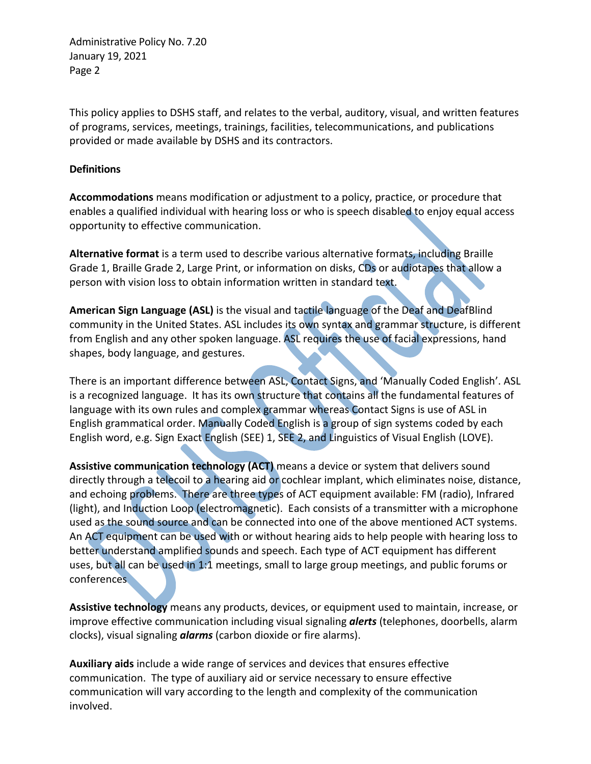This policy applies to DSHS staff, and relates to the verbal, auditory, visual, and written features of programs, services, meetings, trainings, facilities, telecommunications, and publications provided or made available by DSHS and its contractors.

## **Definitions**

**Accommodations** means modification or adjustment to a policy, practice, or procedure that enables a qualified individual with hearing loss or who is speech disabled to enjoy equal access opportunity to effective communication.

**Alternative format** is a term used to describe various alternative formats, including Braille Grade 1, Braille Grade 2, Large Print, or information on disks, CDs or audiotapes that allow a person with vision loss to obtain information written in standard text.

**American Sign Language (ASL)** is the visual and tactile language of the Deaf and DeafBlind community in the United States. ASL includes its own syntax and grammar structure, is different from English and any other spoken language. ASL requires the use of facial expressions, hand shapes, body language, and gestures.

There is an important difference between ASL, Contact Signs, and 'Manually Coded English'. ASL is a recognized language. It has its own structure that contains all the fundamental features of language with its own rules and complex grammar whereas Contact Signs is use of ASL in English grammatical order. Manually Coded English is a group of sign systems coded by each English word, e.g. Sign Exact English (SEE) 1, SEE 2, and Linguistics of Visual English (LOVE).

Assistive communication technology (ACT) means a device or system that delivers sound directly through a telecoil to a hearing aid or cochlear implant, which eliminates noise, distance, and echoing problems. There are three types of ACT equipment available: FM (radio), Infrared (light), and Induction Loop (electromagnetic). Each consists of a transmitter with a microphone used as the sound source and can be connected into one of the above mentioned ACT systems. An ACT equipment can be used with or without hearing aids to help people with hearing loss to better understand amplified sounds and speech. Each type of ACT equipment has different uses, but all can be used in 1:1 meetings, small to large group meetings, and public forums or conferences

**Assistive technology** means any products, devices, or equipment used to maintain, increase, or improve effective communication including visual signaling *alerts* (telephones, doorbells, alarm clocks), visual signaling *alarms* (carbon dioxide or fire alarms).

**Auxiliary aids** include a wide range of services and devices that ensures effective communication. The type of auxiliary aid or service necessary to ensure effective communication will vary according to the length and complexity of the communication involved.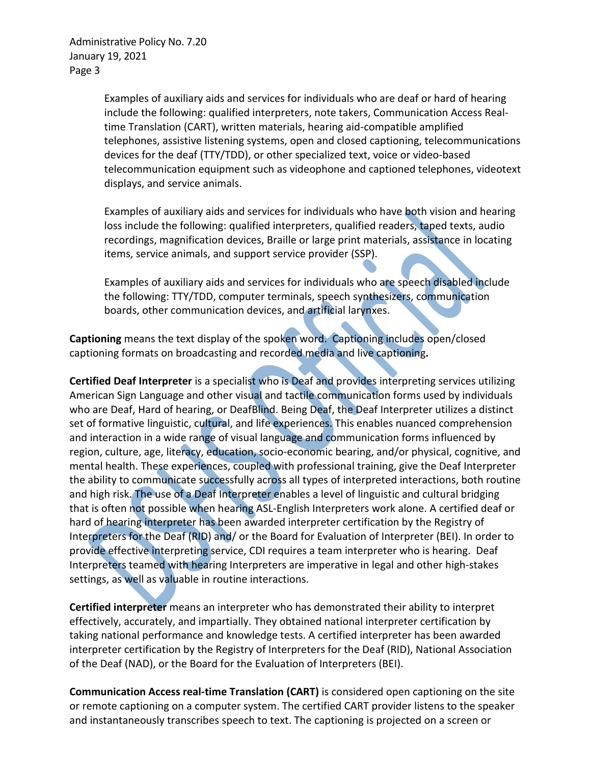> Examples of auxiliary aids and services for individuals who are deaf or hard of hearing include the following: qualified interpreters, note takers, Communication Access Realtime Translation (CART), written materials, hearing aid-compatible amplified telephones, assistive listening systems, open and closed captioning, telecommunications devices for the deaf (TTY/TDD), or other specialized text, voice or video-based telecommunication equipment such as videophone and captioned telephones, videotext displays, and service animals.

Examples of auxiliary aids and services for individuals who have both vision and hearing loss include the following: qualified interpreters, qualified readers, taped texts, audio recordings, magnification devices, Braille or large print materials, assistance in locating items, service animals, and support service provider (SSP).

Examples of auxiliary aids and services for individuals who are speech disabled include the following: TTY/TDD, computer terminals, speech synthesizers, communication boards, other communication devices, and artificial larynxes.

**Captioning** means the text display of the spoken word. Captioning includes open/closed captioning formats on broadcasting and recorded media and live captioning**.**

**Certified Deaf Interpreter** is a specialist who is Deaf and provides interpreting services utilizing American Sign Language and other visual and tactile communication forms used by individuals who are Deaf, Hard of hearing, or DeafBlind. Being Deaf, the Deaf Interpreter utilizes a distinct set of formative linguistic, cultural, and life experiences. This enables nuanced comprehension and interaction in a wide range of visual language and communication forms influenced by region, culture, age, literacy, education, socio-economic bearing, and/or physical, cognitive, and mental health. These experiences, coupled with professional training, give the Deaf Interpreter the ability to communicate successfully across all types of interpreted interactions, both routine and high risk. The use of a Deaf Interpreter enables a level of linguistic and cultural bridging that is often not possible when hearing ASL-English Interpreters work alone. A certified deaf or hard of hearing interpreter has been awarded interpreter certification by the Registry of Interpreters for the Deaf (RID) and/ or the Board for Evaluation of Interpreter (BEI). In order to provide effective interpreting service, CDI requires a team interpreter who is hearing. Deaf Interpreters teamed with hearing Interpreters are imperative in legal and other high-stakes settings, as well as valuable in routine interactions.

**Certified interpreter** means an interpreter who has demonstrated their ability to interpret effectively, accurately, and impartially. They obtained national interpreter certification by taking national performance and knowledge tests. A certified interpreter has been awarded interpreter certification by the Registry of Interpreters for the Deaf (RID), National Association of the Deaf (NAD), or the Board for the Evaluation of Interpreters (BEI).

**Communication Access real-time Translation (CART)** is considered open captioning on the site or remote captioning on a computer system. The certified CART provider listens to the speaker and instantaneously transcribes speech to text. The captioning is projected on a screen or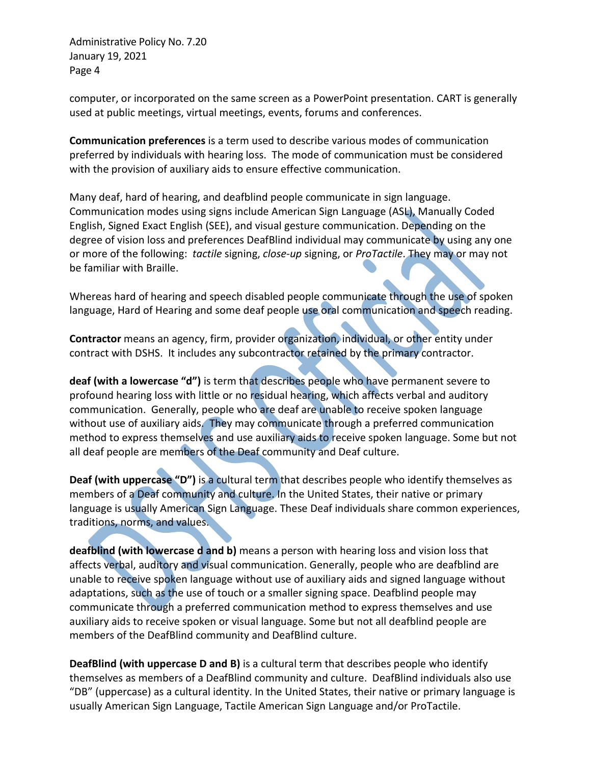computer, or incorporated on the same screen as a PowerPoint presentation. CART is generally used at public meetings, virtual meetings, events, forums and conferences.

**Communication preferences** is a term used to describe various modes of communication preferred by individuals with hearing loss. The mode of communication must be considered with the provision of auxiliary aids to ensure effective communication.

Many deaf, hard of hearing, and deafblind people communicate in sign language. Communication modes using signs include American Sign Language (ASL), Manually Coded English, Signed Exact English (SEE), and visual gesture communication. Depending on the degree of vision loss and preferences DeafBlind individual may communicate by using any one or more of the following: *tactile* signing, *close-up* signing, or *ProTactile*. They may or may not be familiar with Braille.

Whereas hard of hearing and speech disabled people communicate through the use of spoken language, Hard of Hearing and some deaf people use oral communication and speech reading.

**Contractor** means an agency, firm, provider organization, individual, or other entity under contract with DSHS. It includes any subcontractor retained by the primary contractor.

**deaf (with a lowercase "d")** is term that describes people who have permanent severe to profound hearing loss with little or no residual hearing, which affects verbal and auditory communication. Generally, people who are deaf are unable to receive spoken language without use of auxiliary aids. They may communicate through a preferred communication method to express themselves and use auxiliary aids to receive spoken language. Some but not all deaf people are members of the Deaf community and Deaf culture.

**Deaf (with uppercase "D")** is a cultural term that describes people who identify themselves as members of a Deaf community and culture. In the United States, their native or primary language is usually American Sign Language. These Deaf individuals share common experiences, traditions, norms, and values.

**deafblind (with lowercase d and b)** means a person with hearing loss and vision loss that affects verbal, auditory and visual communication. Generally, people who are deafblind are unable to receive spoken language without use of auxiliary aids and signed language without adaptations, such as the use of touch or a smaller signing space. Deafblind people may communicate through a preferred communication method to express themselves and use auxiliary aids to receive spoken or visual language. Some but not all deafblind people are members of the DeafBlind community and DeafBlind culture.

**DeafBlind (with uppercase D and B)** is a cultural term that describes people who identify themselves as members of a DeafBlind community and culture. DeafBlind individuals also use "DB" (uppercase) as a cultural identity. In the United States, their native or primary language is usually American Sign Language, Tactile American Sign Language and/or ProTactile.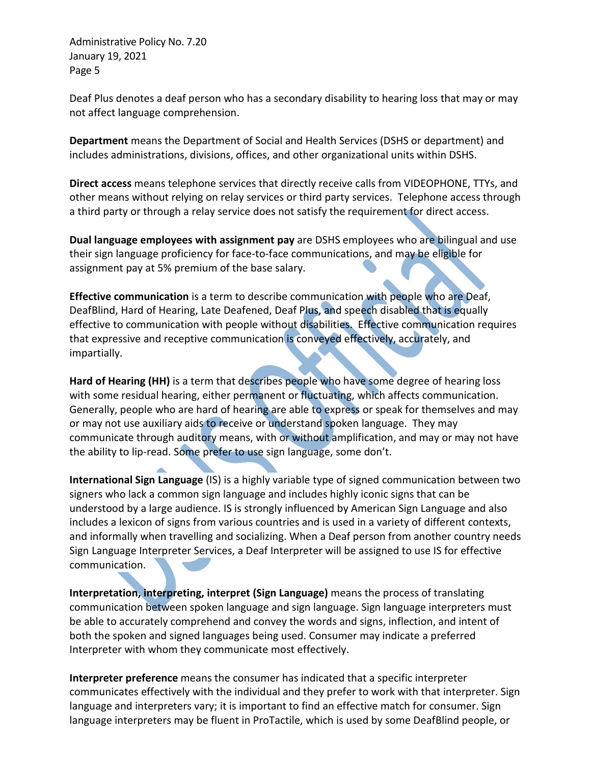Deaf Plus denotes a deaf person who has a secondary disability to hearing loss that may or may not affect language comprehension.

**Department** means the Department of Social and Health Services (DSHS or department) and includes administrations, divisions, offices, and other organizational units within DSHS.

**Direct access** means telephone services that directly receive calls from VIDEOPHONE, TTYs, and other means without relying on relay services or third party services. Telephone access through a third party or through a relay service does not satisfy the requirement for direct access.

**Dual language employees with assignment pay** are DSHS employees who are bilingual and use their sign language proficiency for face-to-face communications, and may be eligible for assignment pay at 5% premium of the base salary.

**Effective communication** is a term to describe communication with people who are Deaf, DeafBlind, Hard of Hearing, Late Deafened, Deaf Plus, and speech disabled that is equally effective to communication with people without disabilities. Effective communication requires that expressive and receptive communication is conveyed effectively, accurately, and impartially.

**Hard of Hearing (HH)** is a term that describes people who have some degree of hearing loss with some residual hearing, either permanent or fluctuating, which affects communication. Generally, people who are hard of hearing are able to express or speak for themselves and may or may not use auxiliary aids to receive or understand spoken language. They may communicate through auditory means, with or without amplification, and may or may not have the ability to lip-read. Some prefer to use sign language, some don't.

**International Sign Language** (IS) is a highly variable type of signed communication between two signers who lack a common sign language and includes highly iconic signs that can be understood by a large audience. IS is strongly influenced by American Sign Language and also includes a lexicon of signs from various countries and is used in a variety of different contexts, and informally when travelling and socializing. When a Deaf person from another country needs Sign Language Interpreter Services, a Deaf Interpreter will be assigned to use IS for effective communication.

**Interpretation, interpreting, interpret (Sign Language)** means the process of translating communication between spoken language and sign language. Sign language interpreters must be able to accurately comprehend and convey the words and signs, inflection, and intent of both the spoken and signed languages being used. Consumer may indicate a preferred Interpreter with whom they communicate most effectively.

**Interpreter preference** means the consumer has indicated that a specific interpreter communicates effectively with the individual and they prefer to work with that interpreter. Sign language and interpreters vary; it is important to find an effective match for consumer. Sign language interpreters may be fluent in ProTactile, which is used by some DeafBlind people, or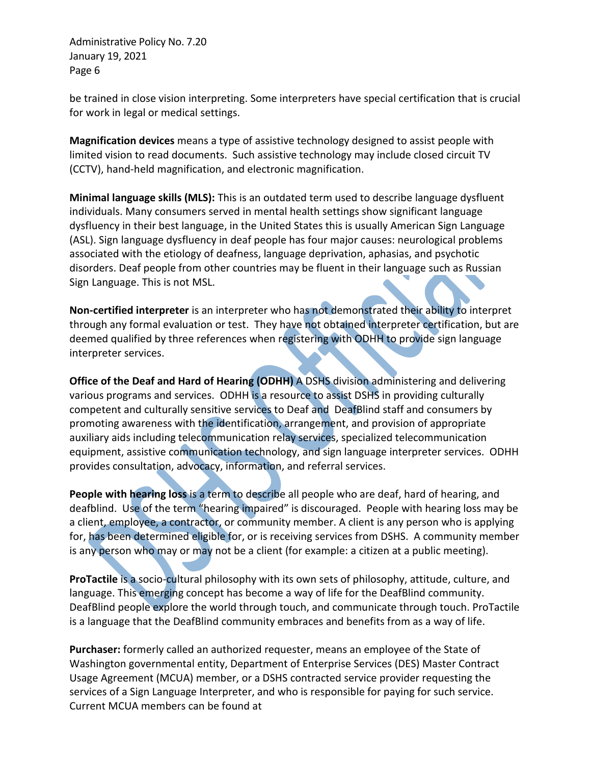be trained in close vision interpreting. Some interpreters have special certification that is crucial for work in legal or medical settings.

**Magnification devices** means a type of assistive technology designed to assist people with limited vision to read documents. Such assistive technology may include closed circuit TV (CCTV), hand-held magnification, and electronic magnification.

**Minimal language skills (MLS):** This is an outdated term used to describe language dysfluent individuals. Many consumers served in mental health settings show significant language dysfluency in their best language, in the United States this is usually American Sign Language (ASL). Sign language dysfluency in deaf people has four major causes: neurological problems associated with the etiology of deafness, language deprivation, aphasias, and psychotic disorders. Deaf people from other countries may be fluent in their language such as Russian Sign Language. This is not MSL.

**Non-certified interpreter** is an interpreter who has not demonstrated their ability to interpret through any formal evaluation or test. They have not obtained interpreter certification, but are deemed qualified by three references when registering with ODHH to provide sign language interpreter services.

**Office of the Deaf and Hard of Hearing (ODHH)** A DSHS division administering and delivering various programs and services. ODHH is a resource to assist DSHS in providing culturally competent and culturally sensitive services to Deaf and DeafBlind staff and consumers by promoting awareness with the identification, arrangement, and provision of appropriate auxiliary aids including telecommunication relay services, specialized telecommunication equipment, assistive communication technology, and sign language interpreter services. ODHH provides consultation, advocacy, information, and referral services.

**People with hearing loss** is a term to describe all people who are deaf, hard of hearing, and deafblind. Use of the term "hearing impaired" is discouraged. People with hearing loss may be a client, employee, a contractor, or community member. A client is any person who is applying for, has been determined eligible for, or is receiving services from DSHS. A community member is any person who may or may not be a client (for example: a citizen at a public meeting).

**ProTactile** is a socio-cultural philosophy with its own sets of philosophy, attitude, culture, and language. This emerging concept has become a way of life for the DeafBlind community. DeafBlind people explore the world through touch, and communicate through touch. ProTactile is a language that the DeafBlind community embraces and benefits from as a way of life.

**Purchaser:** formerly called an authorized requester, means an employee of the State of Washington governmental entity, Department of Enterprise Services (DES) Master Contract Usage Agreement (MCUA) member, or a DSHS contracted service provider requesting the services of a Sign Language Interpreter, and who is responsible for paying for such service. Current MCUA members can be found at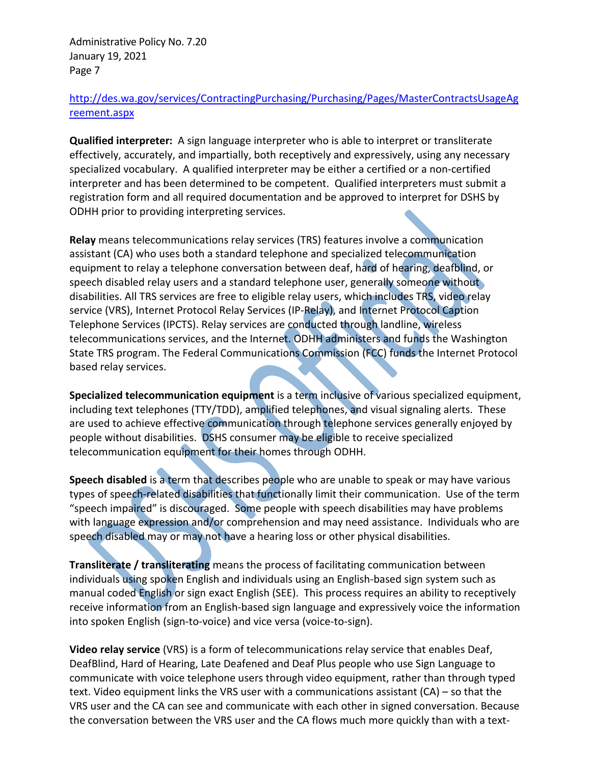# [http://des.wa.gov/services/ContractingPurchasing/Purchasing/Pages/MasterContractsUsageAg](http://des.wa.gov/services/ContractingPurchasing/Purchasing/Pages/MasterContractsUsageAgreement.aspx) [reement.aspx](http://des.wa.gov/services/ContractingPurchasing/Purchasing/Pages/MasterContractsUsageAgreement.aspx)

**Qualified interpreter:** A sign language interpreter who is able to interpret or transliterate effectively, accurately, and impartially, both receptively and expressively, using any necessary specialized vocabulary. A qualified interpreter may be either a certified or a non-certified interpreter and has been determined to be competent. Qualified interpreters must submit a registration form and all required documentation and be approved to interpret for DSHS by ODHH prior to providing interpreting services.

**Relay** means telecommunications relay services (TRS) features involve a communication assistant (CA) who uses both a standard telephone and specialized telecommunication equipment to relay a telephone conversation between deaf, hard of hearing, deafblind, or speech disabled relay users and a standard telephone user, generally someone without disabilities. All TRS services are free to eligible relay users, which includes TRS, video relay service (VRS), Internet Protocol Relay Services (IP-Relay), and Internet Protocol Caption Telephone Services (IPCTS). Relay services are conducted through landline, wireless telecommunications services, and the Internet. ODHH administers and funds the Washington State TRS program. The Federal Communications Commission (FCC) funds the Internet Protocol based relay services.

**Specialized telecommunication equipment** is a term inclusive of various specialized equipment, including text telephones (TTY/TDD), amplified telephones, and visual signaling alerts. These are used to achieve effective communication through telephone services generally enjoyed by people without disabilities. DSHS consumer may be eligible to receive specialized telecommunication equipment for their homes through ODHH.

**Speech disabled** is a term that describes people who are unable to speak or may have various types of speech-related disabilities that functionally limit their communication. Use of the term "speech impaired" is discouraged. Some people with speech disabilities may have problems with language expression and/or comprehension and may need assistance. Individuals who are speech disabled may or may not have a hearing loss or other physical disabilities.

**Transliterate / transliterating** means the process of facilitating communication between individuals using spoken English and individuals using an English-based sign system such as manual coded English or sign exact English (SEE). This process requires an ability to receptively receive information from an English-based sign language and expressively voice the information into spoken English (sign-to-voice) and vice versa (voice-to-sign).

**Video relay service** (VRS) is a form of telecommunications relay service that enables Deaf, DeafBlind, Hard of Hearing, Late Deafened and Deaf Plus people who use Sign Language to communicate with voice telephone users through video equipment, rather than through typed text. Video equipment links the VRS user with a communications assistant (CA) – so that the VRS user and the CA can see and communicate with each other in signed conversation. Because the conversation between the VRS user and the CA flows much more quickly than with a text-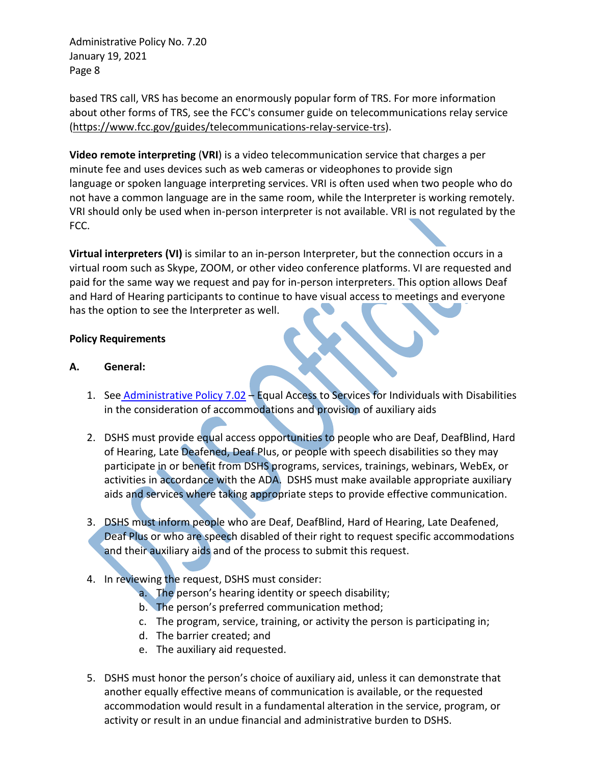based TRS call, VRS has become an enormously popular form of TRS. For more information about other forms of TRS, see the FCC's consumer guide on telecommunications relay service [\(https://www.fcc.gov/guides/telecommunications-relay-service-trs\)](https://www.fcc.gov/guides/telecommunications-relay-service-trs).

**Video remote interpreting** (**VRI**) is a [video telecommunication](https://en.wikipedia.org/wiki/Videotelephony) service that charges a per minute fee and uses devices such as [web cameras](https://en.wikipedia.org/wiki/Webcam) or [videophones](https://en.wikipedia.org/wiki/Videophone) to provide [sign](https://en.wikipedia.org/wiki/Sign_language)  [language](https://en.wikipedia.org/wiki/Sign_language) or [spoken language interpreting](https://en.wikipedia.org/wiki/Language_interpretation) services. VRI is often used when two people who do not have a common language are in the same room, while the Interpreter is working remotely. VRI should only be used when in-person interpreter is not available. VRI is not regulated by the FCC.

**Virtual interpreters (VI)** is similar to an in-person Interpreter, but the connection occurs in a virtual room such as Skype, ZOOM, or other video conference platforms. VI are requested and paid for the same way we request and pay for in-person interpreters. This option allows Deaf and Hard of Hearing participants to continue to have visual access to meetings and everyone has the option to see the Interpreter as well.

## **Policy Requirements**

## **A. General:**

- 1. See [Administrative Policy 7.02](http://one.dshs.wa.lcl/Policies/Administrative/DSHS-AP-07-02.pdf) [Equal Access to Services for Individuals with Disabilities](http://asd.dshs.wa.gov/RPAU/documents/Admin-Policy/07-02.htm) [in the consideration of accommodations and provision of auxiliary](http://asd.dshs.wa.gov/RPAU/documents/Admin-Policy/07-02.htm) aids
- 2. DSHS must provide equal access opportunities to people who are Deaf, DeafBlind, Hard of Hearing, Late Deafened, Deaf Plus, or people with speech disabilities so they may participate in or benefit from DSHS programs, services, trainings, webinars, WebEx, or activities in accordance with the ADA. DSHS must make available appropriate auxiliary aids and services where taking appropriate steps to provide effective communication.
- 3. DSHS must inform people who are Deaf, DeafBlind, Hard of Hearing, Late Deafened, Deaf Plus or who are speech disabled of their right to request specific accommodations and their auxiliary aids and of the process to submit this request.
- 4. In reviewing the request, DSHS must consider:
	- a. The person's hearing identity or speech disability;
	- b. The person's preferred communication method;
	- c. The program, service, training, or activity the person is participating in;
	- d. The barrier created; and
	- e. The auxiliary aid requested.
- 5. DSHS must honor the person's choice of auxiliary aid, unless it can demonstrate that another equally effective means of communication is available, or the requested accommodation would result in a fundamental alteration in the service, program, or activity or result in an undue financial and administrative burden to DSHS.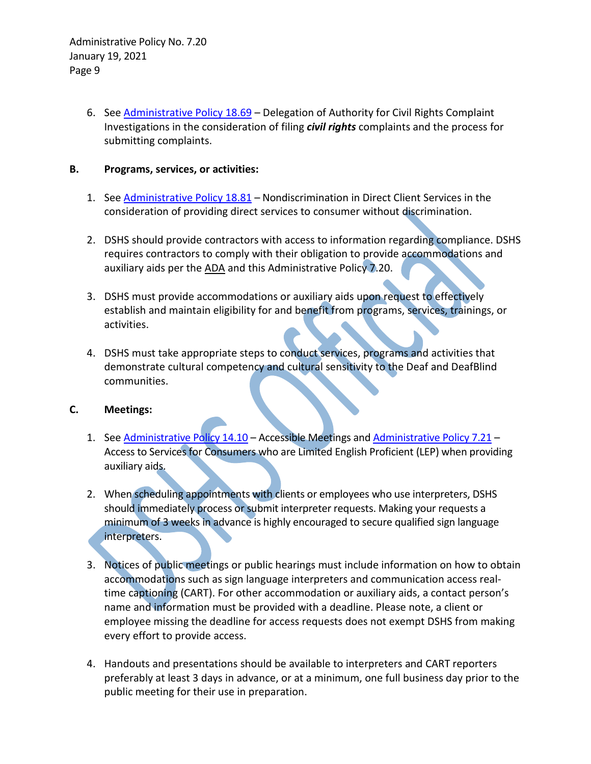> 6. See [Administrative Policy 18.69](http://one.dshs.wa.lcl/Policies/Administrative/DSHS-AP-18-69.pdf) – Delegation of Authority for Civil Rights Complaint Investigations in the consideration of filing *civil rights* complaints and the process for submitting complaints.

## **B. Programs, services, or activities:**

- 1. See [Administrative Policy 18.81](http://one.dshs.wa.lcl/Policies/Administrative/DSHS-AP-18-81.pdf) Nondiscrimination in Direct Client Services in the consideration of providing direct services to consumer without discrimination.
- 2. DSHS should provide contractors with access to information regarding compliance. DSHS requires contractors to comply with their obligation to provide accommodations and auxiliary aids per the [ADA](http://www.ada.gov/pubs/ada.htm) and this Administrative Policy 7.20.
- 3. DSHS must provide accommodations or auxiliary aids upon request to effectively establish and maintain eligibility for and benefit from programs, services, trainings, or activities.
- 4. DSHS must take appropriate steps to conduct services, programs and activities that demonstrate cultural competency and cultural sensitivity to the Deaf and DeafBlind communities.

## **C. Meetings:**

- 1. See [Administrative Policy 14.10](http://one.dshs.wa.lcl/Policies/Administrative/DSHS-AP-14-10.pdf) Accessible Meetings an[d Administrative Policy 7.21](http://one.dshs.wa.lcl/Policies/Administrative/DSHS-AP-07-21.pdf) -Access to Services for Consumers who are Limited English Proficient (LEP) when providing auxiliary aids.
- 2. When scheduling appointments with clients or employees who use interpreters, DSHS should immediately process or submit interpreter requests. Making your requests a minimum of 3 weeks in advance is highly encouraged to secure qualified sign language interpreters.
- 3. Notices of public meetings or public hearings must include information on how to obtain accommodations such as sign language interpreters and communication access realtime captioning (CART). For other accommodation or auxiliary aids, a contact person's name and information must be provided with a deadline. Please note, a client or employee missing the deadline for access requests does not exempt DSHS from making every effort to provide access.
- 4. Handouts and presentations should be available to interpreters and CART reporters preferably at least 3 days in advance, or at a minimum, one full business day prior to the public meeting for their use in preparation.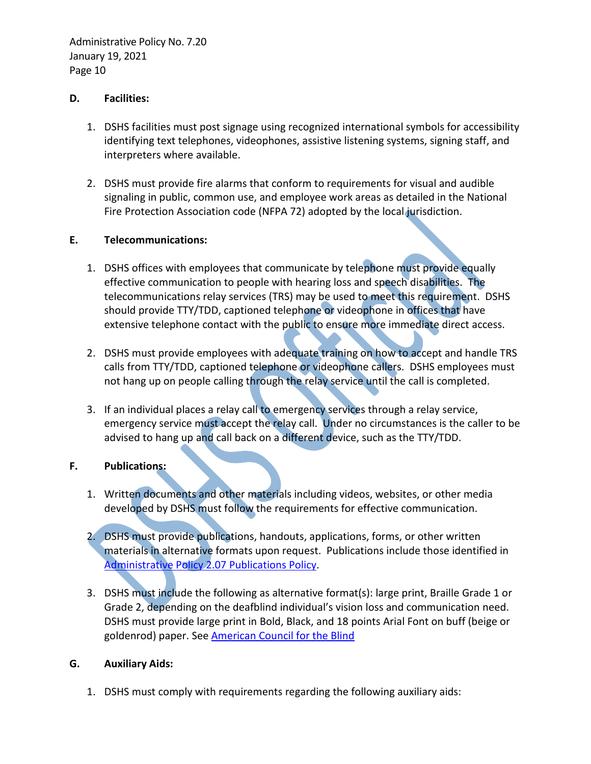#### **D. Facilities:**

- 1. DSHS facilities must post signage using recognized international symbols for accessibility identifying text telephones, videophones, assistive listening systems, signing staff, and interpreters where available.
- 2. DSHS must provide fire alarms that conform to requirements for visual and audible signaling in public, common use, and employee work areas as detailed in the National Fire Protection Association code (NFPA 72) adopted by the local jurisdiction.

#### **E. Telecommunications:**

- 1. DSHS offices with employees that communicate by telephone must provide equally effective communication to people with hearing loss and speech disabilities. The telecommunications relay services (TRS) may be used to meet this requirement. DSHS should provide TTY/TDD, captioned telephone or videophone in offices that have extensive telephone contact with the public to ensure more immediate direct access.
- 2. DSHS must provide employees with adequate training on how to accept and handle TRS calls from TTY/TDD, captioned telephone or videophone callers. DSHS employees must not hang up on people calling through the relay service until the call is completed.
- 3. If an individual places a relay call to emergency services through a relay service, emergency service must accept the relay call. Under no circumstances is the caller to be advised to hang up and call back on a different device, such as the TTY/TDD.

# **F. Publications:**

- 1. Written documents and other materials including videos, websites, or other media developed by DSHS must follow the requirements for effective communication.
- 2. DSHS must provide publications, handouts, applications, forms, or other written materials in alternative formats upon request. Publications include those identified in [Administrative Policy 2.07 Publications Policy.](http://one.dshs.wa.lcl/Policies/Administrative/DSHS-AP-02-07.pdf)
- 3. DSHS must include the following as alternative format(s): large print, Braille Grade 1 or Grade 2, depending on the deafblind individual's vision loss and communication need. DSHS must provide large print in Bold, Black, and 18 points Arial Font on buff (beige or goldenrod) paper. See [American Council for the Blind](https://acb.org/large-print-guidelines#:%7E:text=%20Guidelines%20%201%20In%20general%2C%20at%20least,upper%20and%20lower%20case%20letters.%20Titles...%20More%20)

#### **G. Auxiliary Aids:**

1. DSHS must comply with requirements regarding the following auxiliary aids: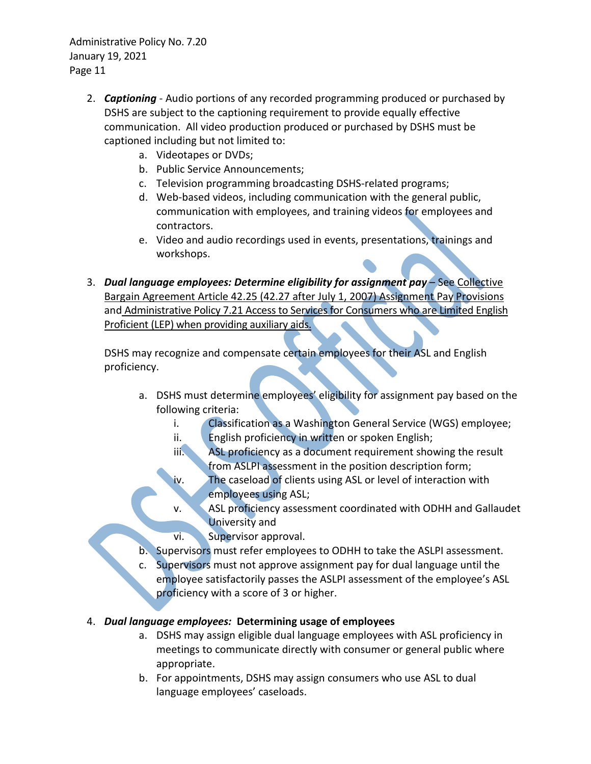- 2. *Captioning* Audio portions of any recorded programming produced or purchased by DSHS are subject to the captioning requirement to provide equally effective communication. All video production produced or purchased by DSHS must be captioned including but not limited to:
	- a. Videotapes or DVDs;
	- b. Public Service Announcements;
	- c. Television programming broadcasting DSHS-related programs;
	- d. Web-based videos, including communication with the general public, communication with employees, and training videos for employees and contractors.
	- e. Video and audio recordings used in events, presentations, trainings and workshops.
- 3. *Dual language employees: Determine eligibility for assignment pay* See [Collective](http://www.ofm.wa.gov/labor/agreements/)  [Bargain Agreement Article 42.25 \(42.27 after July 1, 2007\) Assignment Pay Provisions](http://www.ofm.wa.gov/labor/agreements/) and [Administrative Policy 7.21 Access to Services for Consumers who are Limited English](http://one.dshs.wa.lcl/Policies/Administrative/DSHS-AP-07-21.pdf)  [Proficient \(LEP\) when providing auxiliary aids.](http://one.dshs.wa.lcl/Policies/Administrative/DSHS-AP-07-21.pdf)

DSHS may recognize and compensate certain employees for their ASL and English proficiency.

- a. DSHS must determine employees' eligibility for assignment pay based on the following criteria:
	- i. Classification as a Washington General Service (WGS) employee;
	- ii. English proficiency in written or spoken English;
	- iii. ASL proficiency as a document requirement showing the result from ASLPI assessment in the position description form;
	- iv. The caseload of clients using ASL or level of interaction with employees using ASL;
	- v. ASL proficiency assessment coordinated with ODHH and Gallaudet University and
	- vi. Supervisor approval.
- b. Supervisors must refer employees to ODHH to take the ASLPI assessment.
- Supervisors must not approve assignment pay for dual language until the employee satisfactorily passes the ASLPI assessment of the employee's ASL proficiency with a score of 3 or higher.

## 4. *Dual language employees:* **Determining usage of employees**

- a. DSHS may assign eligible dual language employees with ASL proficiency in meetings to communicate directly with consumer or general public where appropriate.
- b. For appointments, DSHS may assign consumers who use ASL to dual language employees' caseloads.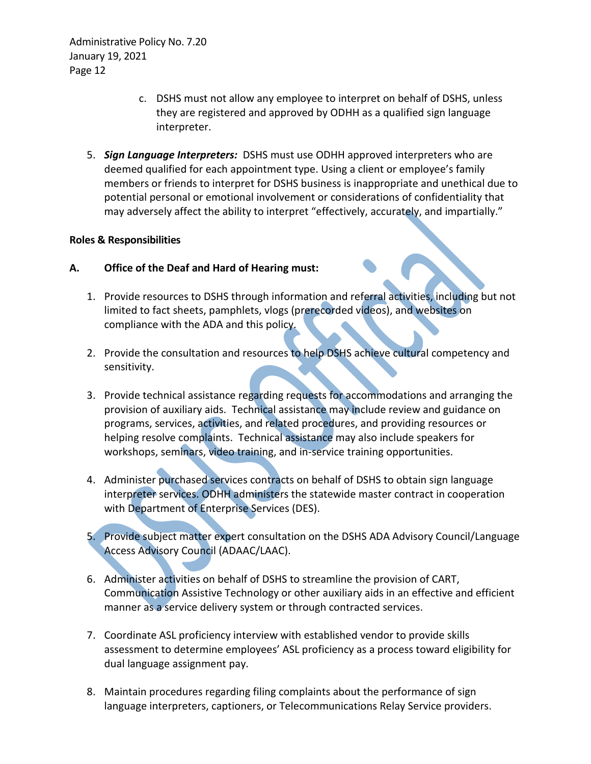- c. DSHS must not allow any employee to interpret on behalf of DSHS, unless they are registered and approved by ODHH as a qualified sign language interpreter.
- 5. *Sign Language Interpreters:* DSHS must use ODHH approved interpreters who are deemed qualified for each appointment type. Using a client or employee's family members or friends to interpret for DSHS business is inappropriate and unethical due to potential personal or emotional involvement or considerations of confidentiality that may adversely affect the ability to interpret "effectively, accurately, and impartially."

#### **Roles & Responsibilities**

#### **A. Office of the Deaf and Hard of Hearing must:**

- 1. Provide resources to DSHS through information and referral activities, including but not limited to fact sheets, pamphlets, vlogs (prerecorded videos), and websites on compliance with the ADA and this policy.
- 2. Provide the consultation and resources to help DSHS achieve cultural competency and sensitivity.
- 3. Provide technical assistance regarding requests for accommodations and arranging the provision of auxiliary aids. Technical assistance may include review and guidance on programs, services, activities, and related procedures, and providing resources or helping resolve complaints. Technical assistance may also include speakers for workshops, seminars, video training, and in-service training opportunities.
- 4. Administer purchased services contracts on behalf of DSHS to obtain sign language interpreter services. ODHH administers the statewide master contract in cooperation with Department of Enterprise Services (DES).
- 5. Provide subject matter expert consultation on the DSHS ADA Advisory Council/Language Access Advisory Council (ADAAC/LAAC).
- 6. Administer activities on behalf of DSHS to streamline the provision of CART, Communication Assistive Technology or other auxiliary aids in an effective and efficient manner as a service delivery system or through contracted services.
- 7. Coordinate ASL proficiency interview with established vendor to provide skills assessment to determine employees' ASL proficiency as a process toward eligibility for dual language assignment pay.
- 8. Maintain procedures regarding filing complaints about the performance of sign language interpreters, captioners, or Telecommunications Relay Service providers.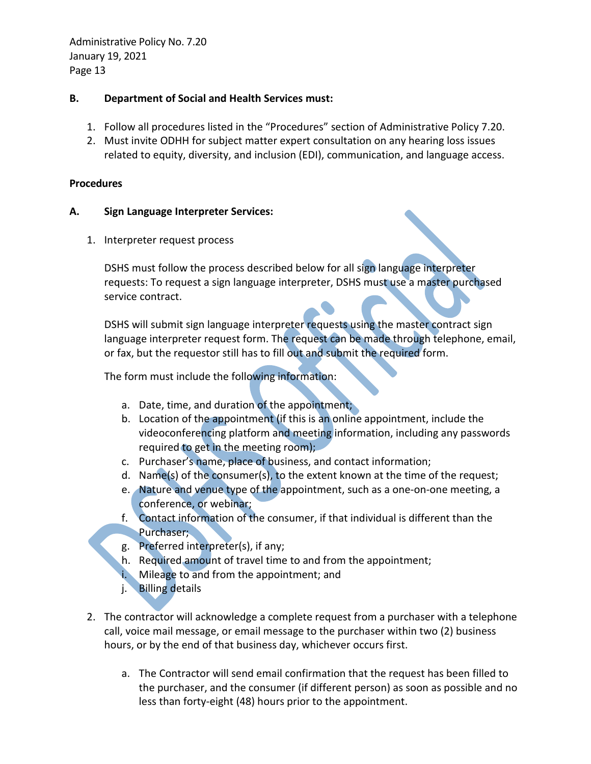### **B. Department of Social and Health Services must:**

- 1. Follow all procedures listed in the "Procedures" section of Administrative Policy 7.20.
- 2. Must invite ODHH for subject matter expert consultation on any hearing loss issues related to equity, diversity, and inclusion (EDI), communication, and language access.

### **Procedures**

#### **A. Sign Language Interpreter Services:**

1. Interpreter request process

DSHS must follow the process described below for all sign language interpreter requests: To request a sign language interpreter, DSHS must use a master purchased service contract.

DSHS will submit sign language interpreter requests using the master contract sign language interpreter request form. The request can be made through telephone, email, or fax, but the requestor still has to fill out and submit the required form.

The form must include the following information:

- a. Date, time, and duration of the appointment;
- b. Location of the appointment (if this is an online appointment, include the videoconferencing platform and meeting information, including any passwords required to get in the meeting room);
- c. Purchaser's name, place of business, and contact information;
- d. Name(s) of the consumer(s), to the extent known at the time of the request;
- e. Nature and venue type of the appointment, such as a one-on-one meeting, a conference, or webinar;
- f. Contact information of the consumer, if that individual is different than the Purchaser;
- g. Preferred interpreter(s), if any;
- h. Required amount of travel time to and from the appointment;
- i. Mileage to and from the appointment; and
- j. Billing details
- 2. The contractor will acknowledge a complete request from a purchaser with a telephone call, voice mail message, or email message to the purchaser within two (2) business hours, or by the end of that business day, whichever occurs first.
	- a. The Contractor will send email confirmation that the request has been filled to the purchaser, and the consumer (if different person) as soon as possible and no less than forty-eight (48) hours prior to the appointment.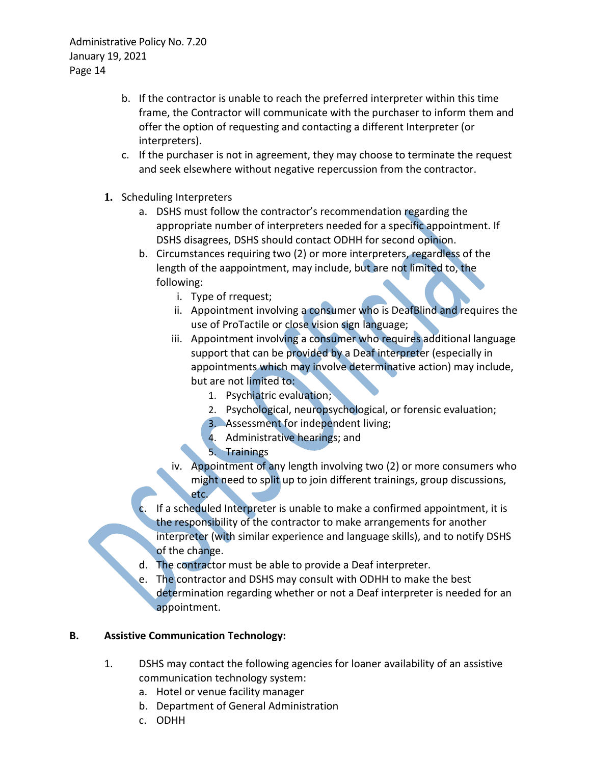- b. If the contractor is unable to reach the preferred interpreter within this time frame, the Contractor will communicate with the purchaser to inform them and offer the option of requesting and contacting a different Interpreter (or interpreters).
- c. If the purchaser is not in agreement, they may choose to terminate the request and seek elsewhere without negative repercussion from the contractor.
- **1.** Scheduling Interpreters
	- a. DSHS must follow the contractor's recommendation regarding the appropriate number of interpreters needed for a specific appointment. If DSHS disagrees, DSHS should contact ODHH for second opinion.
	- b. Circumstances requiring two (2) or more interpreters, regardless of the length of the aappointment, may include, but are not limited to, the following:
		- i. Type of rrequest;
		- ii. Appointment involving a consumer who is DeafBlind and requires the use of ProTactile or close vision sign language;
		- iii. Appointment involving a consumer who requires additional language support that can be provided by a Deaf interpreter (especially in appointments which may involve determinative action) may include, but are not limited to:
			- 1. Psychiatric evaluation;
			- 2. Psychological, neuropsychological, or forensic evaluation;
			- 3. Assessment for independent living;
			- 4. Administrative hearings; and
			- 5. Trainings
		- iv. Appointment of any length involving two (2) or more consumers who might need to split up to join different trainings, group discussions, etc.
	- If a scheduled Interpreter is unable to make a confirmed appointment, it is the responsibility of the contractor to make arrangements for another interpreter (with similar experience and language skills), and to notify DSHS of the change.
	- d. The contractor must be able to provide a Deaf interpreter.
	- e. The contractor and DSHS may consult with ODHH to make the best determination regarding whether or not a Deaf interpreter is needed for an appointment.

## **B. Assistive Communication Technology:**

- 1. DSHS may contact the following agencies for loaner availability of an assistive communication technology system:
	- a. Hotel or venue facility manager
	- b. Department of General Administration
	- c. ODHH